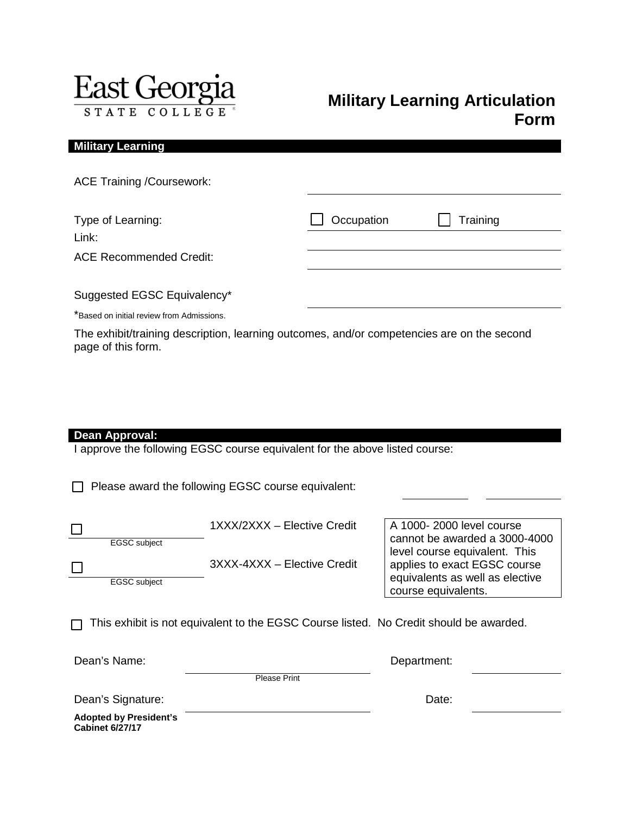

## **Military Learning Articulation Form**

| <b>Military Learning</b>                                                                   |            |          |
|--------------------------------------------------------------------------------------------|------------|----------|
| <b>ACE Training /Coursework:</b>                                                           |            |          |
| Type of Learning:<br>Link:                                                                 | Occupation | Training |
| <b>ACE Recommended Credit:</b>                                                             |            |          |
| Suggested EGSC Equivalency*                                                                |            |          |
| *Based on initial review from Admissions.                                                  |            |          |
| The exhibit/training description, learning outcomes, and/or competencies are on the second |            |          |

page of this form.

| I<br>ea<br>I<br>Annrov<br>m |  |
|-----------------------------|--|
|-----------------------------|--|

I approve the following EGSC course equivalent for the above listed course:

Please award the following EGSC course equivalent:

|              | 1XXX/2XXX - Elective Credit | A 1000-2000 level course      |
|--------------|-----------------------------|-------------------------------|
| EGSC subject |                             | cannot be awarded a 3000      |
|              |                             | llevel course equivalent. The |
|              |                             |                               |

3XXX-4XXX – Elective Credit

EGSC subject

course equivalents.  $\Box$  This exhibit is not equivalent to the EGSC Course listed. No Credit should be awarded.

Dean's Name: **Department:** 

 $\Box$ 

Please Print

Dean's Signature: Dean's Signature:

cannot be awarded a 3000-4000 level course equivalent. This applies to exact EGSC course equivalents as well as elective

**Adopted by President's Cabinet 6/27/17**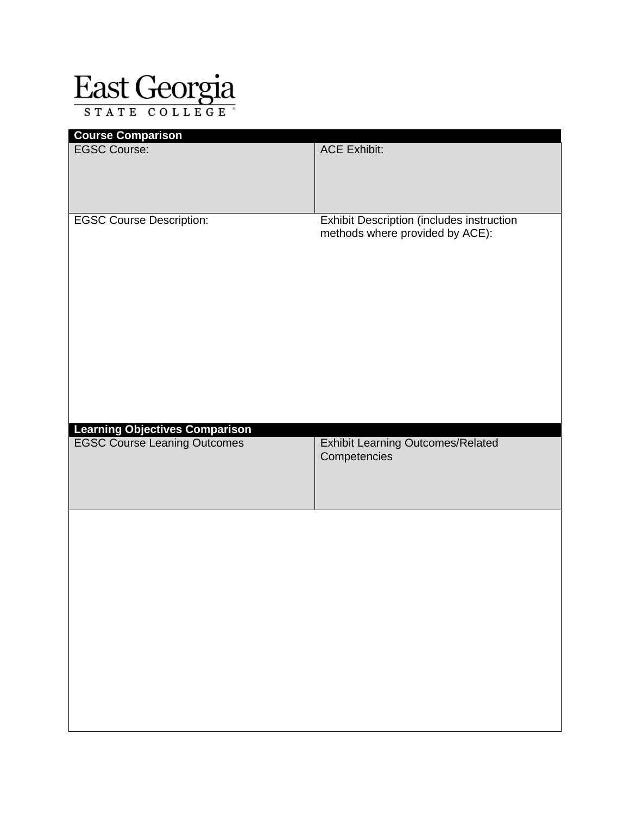## East Georgia

| <b>ACE Exhibit:</b>                                                          |
|------------------------------------------------------------------------------|
| Exhibit Description (includes instruction<br>methods where provided by ACE): |
| Exhibit Learning Outcomes/Related<br>Competencies                            |
|                                                                              |
|                                                                              |